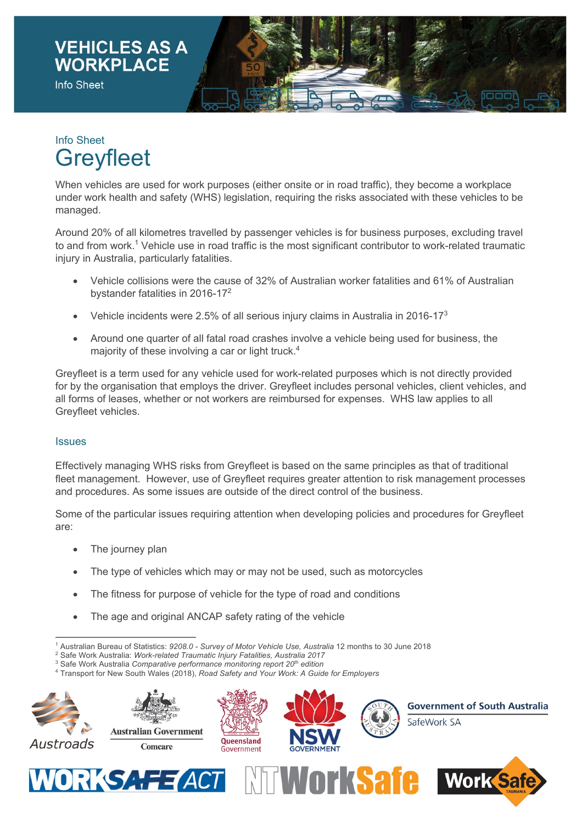

## Info Sheet **Greyfleet**

When vehicles are used for work purposes (either onsite or in road traffic), they become a workplace under work health and safety (WHS) legislation, requiring the risks associated with these vehicles to be managed.

Around 20% of all kilometres travelled by passenger vehicles is for business purposes, excluding travel to and from work.<sup>1</sup> Vehicle use in road traffic is the most significant contributor to work-related traumatic injury in Australia, particularly fatalities.

- Vehicle collisions were the cause of 32% of Australian worker fatalities and 61% of Australian bystander fatalities in 2016-17<sup>2</sup>
- Vehicle incidents were 2.5% of all serious injury claims in Australia in 2016-173
- Around one quarter of all fatal road crashes involve a vehicle being used for business, the majority of these involving a car or light truck.<sup>4</sup>

Greyfleet is a term used for any vehicle used for work-related purposes which is not directly provided for by the organisation that employs the driver. Greyfleet includes personal vehicles, client vehicles, and all forms of leases, whether or not workers are reimbursed for expenses. WHS law applies to all Greyfleet vehicles.

## **Issues**

Effectively managing WHS risks from Greyfleet is based on the same principles as that of traditional fleet management. However, use of Greyfleet requires greater attention to risk management processes and procedures. As some issues are outside of the direct control of the business.

Some of the particular issues requiring attention when developing policies and procedures for Greyfleet are:

- The journey plan
- The type of vehicles which may or may not be used, such as motorcycles
- The fitness for purpose of vehicle for the type of road and conditions
- The age and original ANCAP safety rating of the vehicle

<sup>4</sup> Transport for New South Wales (2018), *Road Safety and Your Work: A Guide for Employers*



<sup>1</sup> Australian Bureau of Statistics: *9208.0 - Survey of Motor Vehicle Use, Australia* 12 months to 30 June 2018

<sup>2</sup> Safe Work Australia: *Work-related Traumatic Injury Fatalities, Australia 2017*

<sup>3</sup> Safe Work Australia *Comparative performance monitoring report 20th edition*